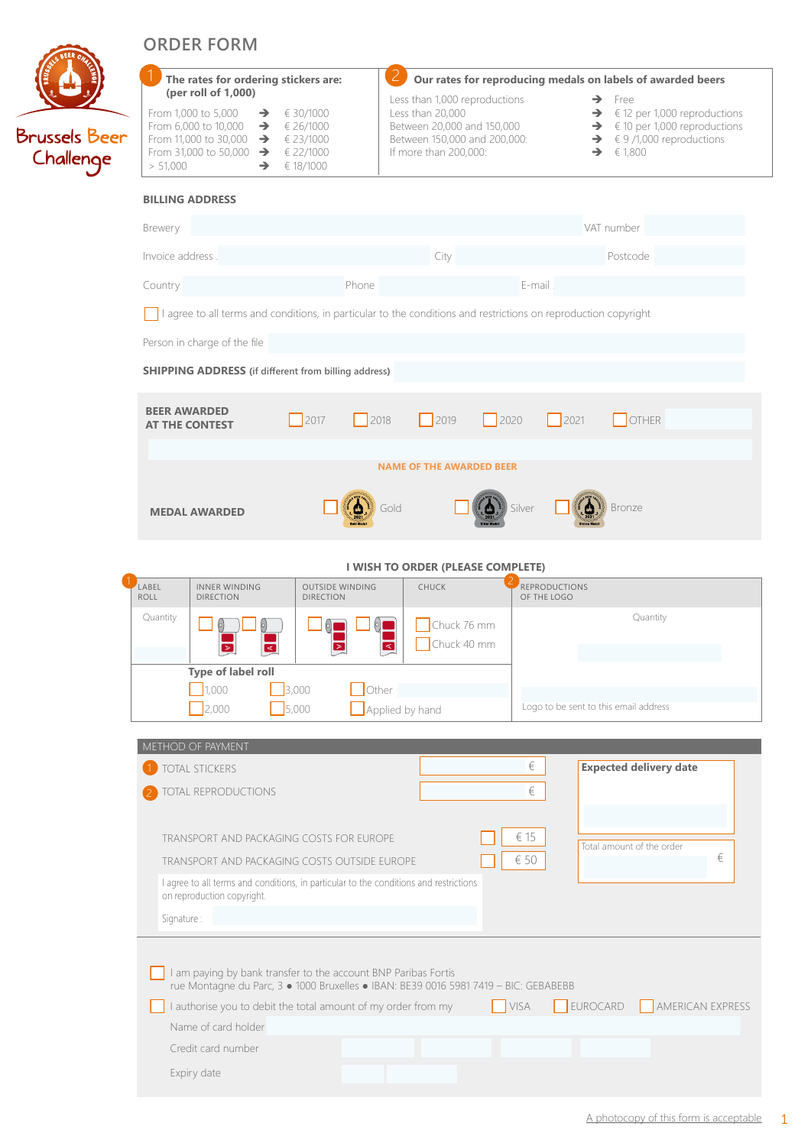|                                   | <b>ORDER FORM</b>                                                                                                                                                                                                 |                                            |                                                                                                                                          |                                                 |                                                                                                                                                                                           |
|-----------------------------------|-------------------------------------------------------------------------------------------------------------------------------------------------------------------------------------------------------------------|--------------------------------------------|------------------------------------------------------------------------------------------------------------------------------------------|-------------------------------------------------|-------------------------------------------------------------------------------------------------------------------------------------------------------------------------------------------|
|                                   | The rates for ordering stickers are:<br>(per roll of 1,000)                                                                                                                                                       |                                            | Our rates for reproducing medals on labels of awarded beers                                                                              |                                                 |                                                                                                                                                                                           |
| <b>Brussels Beer</b><br>Challenge | From 1,000 to 5,000<br>$\rightarrow$<br>From 6,000 to 10,000 $\rightarrow$<br>From 11,000 to 30,000 $\rightarrow$ $\in$ 23/1000<br>From 31,000 to 50,000 $\rightarrow$ $\in$ 22/1000<br>> 51,000<br>$\rightarrow$ | € 30/1000<br>€ 26/1000<br>€ 18/1000        | Less than 1,000 reproductions<br>Less than 20,000<br>Between 20,000 and 150,000<br>Between 150,000 and 200,000:<br>If more than 200,000: |                                                 | $\rightarrow$ Free<br>$\rightarrow$ € 12 per 1,000 reproductions<br>$\rightarrow$ € 10 per 1,000 reproductions<br>$\rightarrow$ $\in$ 9 /1,000 reproductions<br>$\rightarrow$ $\in$ 1,800 |
|                                   | <b>BILLING ADDRESS</b>                                                                                                                                                                                            |                                            |                                                                                                                                          |                                                 |                                                                                                                                                                                           |
|                                   | Brewery                                                                                                                                                                                                           |                                            |                                                                                                                                          |                                                 | VAT number                                                                                                                                                                                |
|                                   | Invoice address                                                                                                                                                                                                   |                                            | City                                                                                                                                     |                                                 | Postcode                                                                                                                                                                                  |
|                                   | Country                                                                                                                                                                                                           | Phone                                      |                                                                                                                                          | E-mail.                                         |                                                                                                                                                                                           |
|                                   | I agree to all terms and conditions, in particular to the conditions and restrictions on reproduction copyright                                                                                                   |                                            |                                                                                                                                          |                                                 |                                                                                                                                                                                           |
|                                   | Person in charge of the file                                                                                                                                                                                      |                                            |                                                                                                                                          |                                                 |                                                                                                                                                                                           |
|                                   | <b>SHIPPING ADDRESS</b> (if different from billing address)                                                                                                                                                       |                                            |                                                                                                                                          |                                                 |                                                                                                                                                                                           |
|                                   | <b>BEER AWARDED</b><br><b>AT THE CONTEST</b>                                                                                                                                                                      | 2017<br>2018                               | 2019                                                                                                                                     | $\begin{array}{c}\n 2021\n \end{array}$<br>2020 | OTHER                                                                                                                                                                                     |
|                                   | <b>NAME OF THE AWARDED BEER</b>                                                                                                                                                                                   |                                            |                                                                                                                                          |                                                 |                                                                                                                                                                                           |
|                                   |                                                                                                                                                                                                                   |                                            |                                                                                                                                          |                                                 |                                                                                                                                                                                           |
|                                   | <b>MEDAL AWARDED</b>                                                                                                                                                                                              |                                            | Gold                                                                                                                                     | Silver                                          | <b>Bronze</b>                                                                                                                                                                             |
|                                   |                                                                                                                                                                                                                   |                                            |                                                                                                                                          |                                                 |                                                                                                                                                                                           |
|                                   | I WISH TO ORDER (PLEASE COMPLETE)<br>CHUCK<br>LABEL<br><b>INNER WINDING</b><br><b>OUTSIDE WINDING</b><br><b>REPRODUCTIONS</b>                                                                                     |                                            |                                                                                                                                          |                                                 |                                                                                                                                                                                           |
|                                   | <b>ROLL</b><br><b>DIRECTION</b><br>Quantity                                                                                                                                                                       | <b>DIRECTION</b><br>$\left( \circ \right)$ | Chuck 76 mm                                                                                                                              | OF THE LOGO                                     | Quantity                                                                                                                                                                                  |
|                                   | $\triangleleft$                                                                                                                                                                                                   |                                            | Chuck 40 mm<br>$\overline{\mathbf{z}}$                                                                                                   |                                                 |                                                                                                                                                                                           |
|                                   | Type of label roll<br>1,000                                                                                                                                                                                       | 3,000<br>$\Box$ Other                      |                                                                                                                                          |                                                 |                                                                                                                                                                                           |
|                                   | $\frac{1}{2,000}$                                                                                                                                                                                                 | 5,000                                      | Applied by hand                                                                                                                          | Logo to be sent to this email address           |                                                                                                                                                                                           |
|                                   | METHOD OF PAYMENT                                                                                                                                                                                                 |                                            |                                                                                                                                          |                                                 |                                                                                                                                                                                           |
|                                   | TOTAL STICKERS                                                                                                                                                                                                    |                                            |                                                                                                                                          | $\in$                                           | <b>Expected delivery date</b>                                                                                                                                                             |
|                                   | TOTAL REPRODUCTIONS                                                                                                                                                                                               |                                            |                                                                                                                                          | $\in$                                           |                                                                                                                                                                                           |
|                                   | TRANSPORT AND PACKAGING COSTS FOR EUROPE                                                                                                                                                                          |                                            |                                                                                                                                          | € 15                                            | Total amount of the order                                                                                                                                                                 |
|                                   | €<br>$\in$ 50<br>TRANSPORT AND PACKAGING COSTS OUTSIDE EUROPE                                                                                                                                                     |                                            |                                                                                                                                          |                                                 |                                                                                                                                                                                           |
|                                   | I agree to all terms and conditions, in particular to the conditions and restrictions<br>on reproduction copyright.                                                                                               |                                            |                                                                                                                                          |                                                 |                                                                                                                                                                                           |
|                                   | Signature:                                                                                                                                                                                                        |                                            |                                                                                                                                          |                                                 |                                                                                                                                                                                           |
|                                   |                                                                                                                                                                                                                   |                                            |                                                                                                                                          |                                                 |                                                                                                                                                                                           |
|                                   | I am paying by bank transfer to the account BNP Paribas Fortis<br>rue Montagne du Parc, 3 · 1000 Bruxelles · IBAN: BE39 0016 5981 7419 - BIC: GEBABEBB                                                            |                                            |                                                                                                                                          |                                                 |                                                                                                                                                                                           |
|                                   | <b>VISA</b><br>EUROCARD<br>AMERICAN EXPRESS<br>I authorise you to debit the total amount of my order from my                                                                                                      |                                            |                                                                                                                                          |                                                 |                                                                                                                                                                                           |
|                                   | Name of card holder<br>Credit card number                                                                                                                                                                         |                                            |                                                                                                                                          |                                                 |                                                                                                                                                                                           |
|                                   | Expiry date                                                                                                                                                                                                       |                                            |                                                                                                                                          |                                                 |                                                                                                                                                                                           |
|                                   |                                                                                                                                                                                                                   |                                            |                                                                                                                                          |                                                 |                                                                                                                                                                                           |